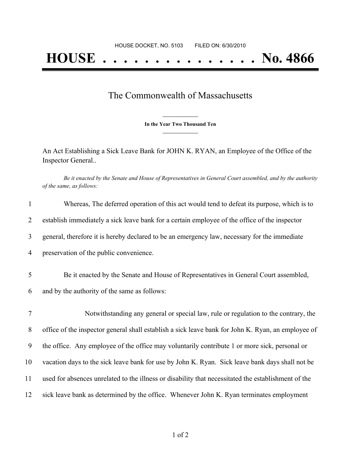## The Commonwealth of Massachusetts

**\_\_\_\_\_\_\_\_\_\_\_\_\_\_\_ In the Year Two Thousand Ten \_\_\_\_\_\_\_\_\_\_\_\_\_\_\_**

An Act Establishing a Sick Leave Bank for JOHN K. RYAN, an Employee of the Office of the Inspector General..

Be it enacted by the Senate and House of Representatives in General Court assembled, and by the authority *of the same, as follows:*

| 1              | Whereas, The deferred operation of this act would tend to defeat its purpose, which is to           |
|----------------|-----------------------------------------------------------------------------------------------------|
| $\overline{2}$ | establish immediately a sick leave bank for a certain employee of the office of the inspector       |
| 3              | general, therefore it is hereby declared to be an emergency law, necessary for the immediate        |
| $\overline{4}$ | preservation of the public convenience.                                                             |
| 5              | Be it enacted by the Senate and House of Representatives in General Court assembled,                |
| 6              | and by the authority of the same as follows:                                                        |
| 7              | Notwithstanding any general or special law, rule or regulation to the contrary, the                 |
| 8              | office of the inspector general shall establish a sick leave bank for John K. Ryan, an employee of  |
| 9              | the office. Any employee of the office may voluntarily contribute 1 or more sick, personal or       |
| 10             | vacation days to the sick leave bank for use by John K. Ryan. Sick leave bank days shall not be     |
| 11             | used for absences unrelated to the illness or disability that necessitated the establishment of the |
| 12             | sick leave bank as determined by the office. Whenever John K. Ryan terminates employment            |